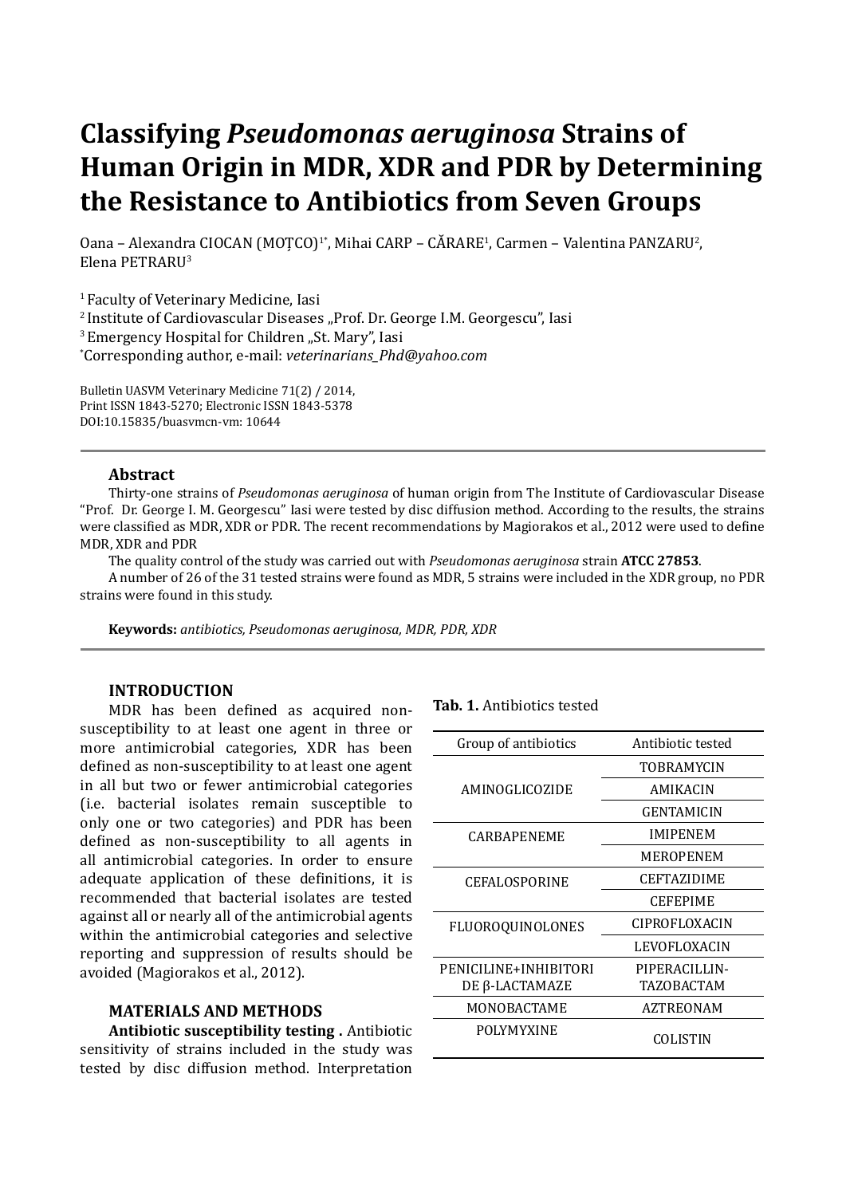# **Classifying** *Pseudomonas aeruginosa* **Strains of Human Origin in MDR, XDR and PDR by Determining the Resistance to Antibiotics from Seven Groups**

Oana – Alexandra CIOCAN (MOȚCO)<sup>1\*</sup>, Mihai CARP – CĂRARE<sup>1</sup>, Carmen – Valentina PANZARU<sup>2</sup>, Elena PETRARU3

1 Faculty of Veterinary Medicine, Iasi <sup>2</sup> Institute of Cardiovascular Diseases "Prof. Dr. George I.M. Georgescu", Iasi <sup>3</sup> Emergency Hospital for Children "St. Mary", Iasi \* Corresponding author, e-mail: *veterinarians\_Phd@yahoo.com*

Bulletin UASVM Veterinary Medicine 71(2) / 2014, Print ISSN 1843-5270; Electronic ISSN 1843-5378 DOI:10.15835/buasvmcn-vm: 10644

## **Abstract**

Thirty-one strains of *Pseudomonas aeruginosa* of human origin from The Institute of Cardiovascular Disease "Prof. Dr. George I. M. Georgescu" Iasi were tested by disc diffusion method. According to the results, the strains were classified as MDR, XDR or PDR. The recent recommendations by Magiorakos et al., 2012 were used to define MDR, XDR and PDR

The quality control of the study was carried out with *Pseudomonas aeruginosa* strain **ATCC 27853**.

A number of 26 of the 31 tested strains were found as MDR, 5 strains were included in the XDR group, no PDR strains were found in this study.

**Keywords:** *antibiotics, Pseudomonas aeruginosa, MDR, PDR, XDR*

## **INTRODUCTION**

MDR has been defined as acquired nonsusceptibility to at least one agent in three or more antimicrobial categories, XDR has been defined as non-susceptibility to at least one agent in all but two or fewer antimicrobial categories (i.e. bacterial isolates remain susceptible to only one or two categories) and PDR has been defined as non-susceptibility to all agents in all antimicrobial categories. In order to ensure adequate application of these definitions, it is recommended that bacterial isolates are tested against all or nearly all of the antimicrobial agents within the antimicrobial categories and selective reporting and suppression of results should be avoided (Magiorakos et al., 2012).

## **MATERIALS AND METHODS**

**Antibiotic susceptibility testing .** Antibiotic sensitivity of strains included in the study was tested by disc diffusion method. Interpretation

#### **Tab. 1.** Antibiotics tested

| Group of antibiotics  | Antibiotic tested  |
|-----------------------|--------------------|
|                       | <b>TOBRAMYCIN</b>  |
| AMINOGLICOZIDE        | AMIKACIN           |
|                       | GENTAMICIN         |
| CARBAPENEME           | <b>IMIPENEM</b>    |
|                       | MEROPENEM          |
| CEFALOSPORINE         | <b>CEFTAZIDIME</b> |
|                       | <b>CEFEPIME</b>    |
| FLUOROQUINOLONES      | CIPROFLOXACIN      |
|                       | LEVOFLOXACIN       |
| PENICILINE+INHIBITORI | PIPERACILLIN-      |
| DE β-LACTAMAZE        | TAZOBACTAM         |
| MONOBACTAME           | AZTREONAM          |
| <b>POLYMYXINE</b>     | COLISTIN           |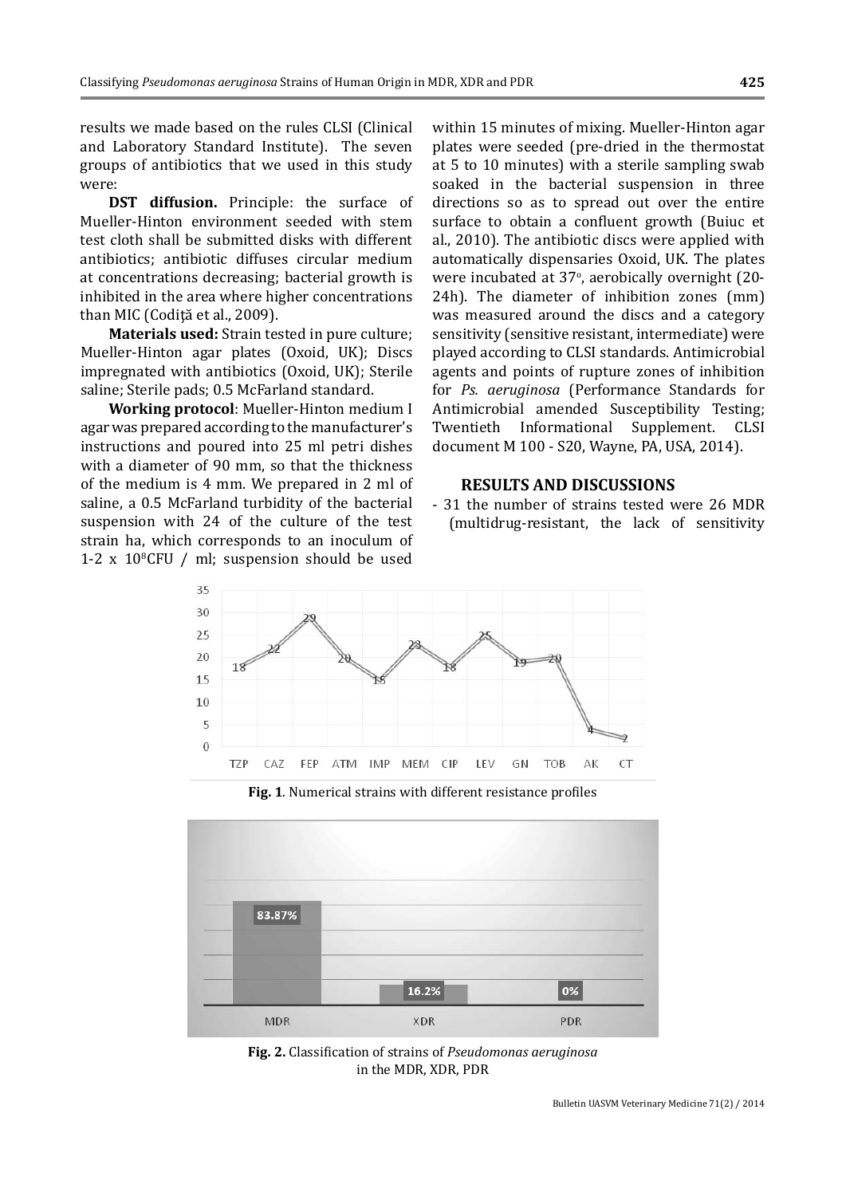results we made based on the rules CLSI (Clinical and Laboratory Standard Institute). The seven groups of antibiotics that we used in this study were:

**DST diffusion.** Principle: the surface of Mueller-Hinton environment seeded with stem test cloth shall be submitted disks with different antibiotics; antibiotic diffuses circular medium at concentrations decreasing; bacterial growth is inhibited in the area where higher concentrations than MIC (Codiţă et al., 2009).

**Materials used:** Strain tested in pure culture; Mueller-Hinton agar plates (Oxoid, UK); Discs impregnated with antibiotics (Oxoid, UK); Sterile saline; Sterile pads; 0.5 McFarland standard.

**Working protocol**: Mueller-Hinton medium I agar was prepared according to the manufacturer's instructions and poured into 25 ml petri dishes with a diameter of 90 mm, so that the thickness of the medium is 4 mm. We prepared in 2 ml of saline, a 0.5 McFarland turbidity of the bacterial suspension with 24 of the culture of the test strain ha, which corresponds to an inoculum of 1-2  $\times$  10<sup>8</sup>CFU / ml; suspension should be used within 15 minutes of mixing. Mueller-Hinton agar plates were seeded (pre-dried in the thermostat at 5 to 10 minutes) with a sterile sampling swab soaked in the bacterial suspension in three directions so as to spread out over the entire surface to obtain a confluent growth (Buiuc et al., 2010). The antibiotic discs were applied with automatically dispensaries Oxoid, UK. The plates were incubated at 37°, aerobically overnight (20-24h). The diameter of inhibition zones (mm) was measured around the discs and a category sensitivity (sensitive resistant, intermediate) were played according to CLSI standards. Antimicrobial agents and points of rupture zones of inhibition for *Ps. aeruginosa* (Performance Standards for Antimicrobial amended Susceptibility Testing; Twentieth Informational Supplement. CLSI document M 100 - S20, Wayne, PA, USA, 2014).

#### **RESULTS AND DISCUSSIONS**

- 31 the number of strains tested were 26 MDR (multidrug-resistant, the lack of sensitivity



Fig. 1. Numerical strains with different resistance profiles



**Fig. 2.** Classification of strains of *Pseudomonas aeruginosa* in the MDR, XDR, PDR